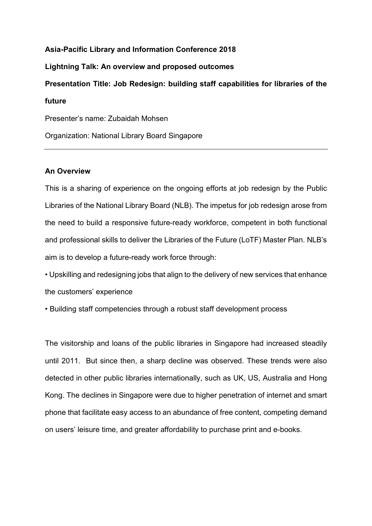## **Asia-Pacific Library and Information Conference 2018 Lightning Talk: An overview and proposed outcomes Presentation Title: Job Redesign: building staff capabilities for libraries of the future** Presenter's name: Zubaidah Mohsen Organization: National Library Board Singapore

## **An Overview**

This is a sharing of experience on the ongoing efforts at job redesign by the Public Libraries of the National Library Board (NLB). The impetus for job redesign arose from the need to build a responsive future-ready workforce, competent in both functional and professional skills to deliver the Libraries of the Future (LoTF) Master Plan. NLB's aim is to develop a future-ready work force through:

• Upskilling and redesigning jobs that align to the delivery of new services that enhance the customers' experience

• Building staff competencies through a robust staff development process

The visitorship and loans of the public libraries in Singapore had increased steadily until 2011. But since then, a sharp decline was observed. These trends were also detected in other public libraries internationally, such as UK, US, Australia and Hong Kong. The declines in Singapore were due to higher penetration of internet and smart phone that facilitate easy access to an abundance of free content, competing demand on users' leisure time, and greater affordability to purchase print and e-books.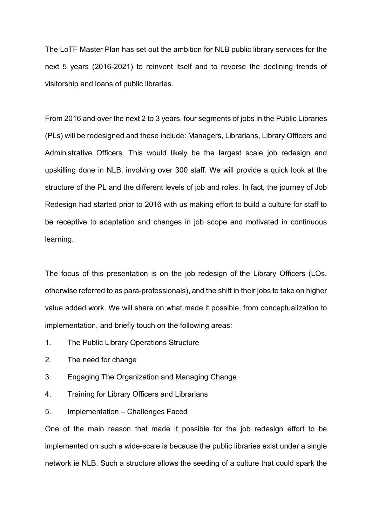The LoTF Master Plan has set out the ambition for NLB public library services for the next 5 years (2016-2021) to reinvent itself and to reverse the declining trends of visitorship and loans of public libraries.

From 2016 and over the next 2 to 3 years, four segments of jobs in the Public Libraries (PLs) will be redesigned and these include: Managers, Librarians, Library Officers and Administrative Officers. This would likely be the largest scale job redesign and upskilling done in NLB, involving over 300 staff. We will provide a quick look at the structure of the PL and the different levels of job and roles. In fact, the journey of Job Redesign had started prior to 2016 with us making effort to build a culture for staff to be receptive to adaptation and changes in job scope and motivated in continuous learning.

The focus of this presentation is on the job redesign of the Library Officers (LOs, otherwise referred to as para-professionals), and the shift in their jobs to take on higher value added work. We will share on what made it possible, from conceptualization to implementation, and briefly touch on the following areas:

- 1. The Public Library Operations Structure
- 2. The need for change
- 3. Engaging The Organization and Managing Change
- 4. Training for Library Officers and Librarians
- 5. Implementation Challenges Faced

One of the main reason that made it possible for the job redesign effort to be implemented on such a wide-scale is because the public libraries exist under a single network ie NLB. Such a structure allows the seeding of a culture that could spark the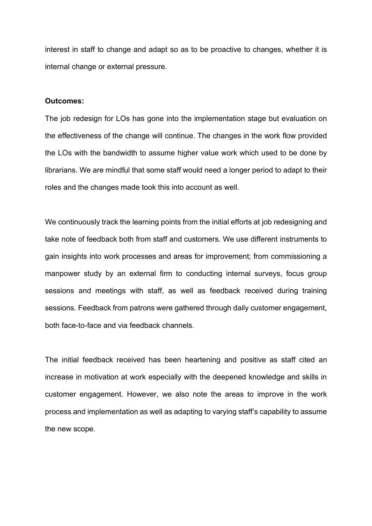interest in staff to change and adapt so as to be proactive to changes, whether it is internal change or external pressure.

## **Outcomes:**

The job redesign for LOs has gone into the implementation stage but evaluation on the effectiveness of the change will continue. The changes in the work flow provided the LOs with the bandwidth to assume higher value work which used to be done by librarians. We are mindful that some staff would need a longer period to adapt to their roles and the changes made took this into account as well.

We continuously track the learning points from the initial efforts at job redesigning and take note of feedback both from staff and customers. We use different instruments to gain insights into work processes and areas for improvement; from commissioning a manpower study by an external firm to conducting internal surveys, focus group sessions and meetings with staff, as well as feedback received during training sessions. Feedback from patrons were gathered through daily customer engagement, both face-to-face and via feedback channels.

The initial feedback received has been heartening and positive as staff cited an increase in motivation at work especially with the deepened knowledge and skills in customer engagement. However, we also note the areas to improve in the work process and implementation as well as adapting to varying staff's capability to assume the new scope.